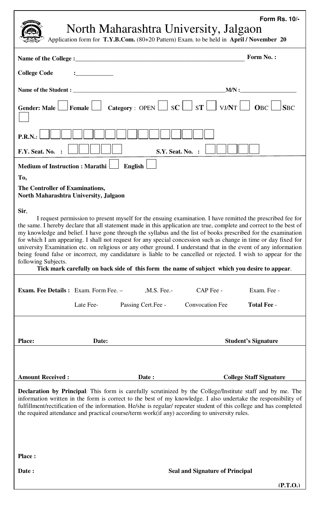## North Maharashtra University, Jalgaon **Form Rs. 10/-**

Application form for **T.Y.B.Com.** (80+20 Pattern) Exam. to be held in **April / November 20**

| Name of the College :_                                                                                                                                                                                                                                                                                                                                                                                                                                                                                                                                                                                                                                                                                                                                                                                                                        | <b>Form No.:</b>                  |  |  |  |  |
|-----------------------------------------------------------------------------------------------------------------------------------------------------------------------------------------------------------------------------------------------------------------------------------------------------------------------------------------------------------------------------------------------------------------------------------------------------------------------------------------------------------------------------------------------------------------------------------------------------------------------------------------------------------------------------------------------------------------------------------------------------------------------------------------------------------------------------------------------|-----------------------------------|--|--|--|--|
| <b>College Code</b>                                                                                                                                                                                                                                                                                                                                                                                                                                                                                                                                                                                                                                                                                                                                                                                                                           |                                   |  |  |  |  |
| Name of the Student : ____                                                                                                                                                                                                                                                                                                                                                                                                                                                                                                                                                                                                                                                                                                                                                                                                                    |                                   |  |  |  |  |
| Gender: Male $\Box$ Female $\Box$ Category : OPEN $\Box$ SC $\Box$ ST $\Box$ VJ/NT $\Box$ OBC $\Box$                                                                                                                                                                                                                                                                                                                                                                                                                                                                                                                                                                                                                                                                                                                                          | <b>SBC</b>                        |  |  |  |  |
| P.R.N.<br>F.Y. Seat. No.<br><b>S.Y. Seat. No. :</b>                                                                                                                                                                                                                                                                                                                                                                                                                                                                                                                                                                                                                                                                                                                                                                                           |                                   |  |  |  |  |
| <b>Medium of Instruction: Marathi</b><br><b>English</b>                                                                                                                                                                                                                                                                                                                                                                                                                                                                                                                                                                                                                                                                                                                                                                                       |                                   |  |  |  |  |
| To,<br>The Controller of Examinations,<br>North Maharashtra University, Jalgaon                                                                                                                                                                                                                                                                                                                                                                                                                                                                                                                                                                                                                                                                                                                                                               |                                   |  |  |  |  |
| Sir,<br>I request permission to present myself for the ensuing examination. I have remitted the prescribed fee for<br>the same. I hereby declare that all statement made in this application are true, complete and correct to the best of<br>my knowledge and belief. I have gone through the syllabus and the list of books prescribed for the examination<br>for which I am appearing. I shall not request for any special concession such as change in time or day fixed for<br>university Examination etc. on religious or any other ground. I understand that in the event of any information<br>being found false or incorrect, my candidature is liable to be cancelled or rejected. I wish to appear for the<br>following Subjects.<br>Tick mark carefully on back side of this form the name of subject which you desire to appear. |                                   |  |  |  |  |
| <b>Exam. Fee Details:</b> Exam. Form Fee. -<br>CAP Fee -<br>, M.S. Fee.-<br><b>Convocation Fee</b><br>Late Fee-<br>Passing Cert.Fee -                                                                                                                                                                                                                                                                                                                                                                                                                                                                                                                                                                                                                                                                                                         | Exam. Fee -<br><b>Total Fee -</b> |  |  |  |  |
|                                                                                                                                                                                                                                                                                                                                                                                                                                                                                                                                                                                                                                                                                                                                                                                                                                               |                                   |  |  |  |  |
| <b>Place:</b><br>Date:                                                                                                                                                                                                                                                                                                                                                                                                                                                                                                                                                                                                                                                                                                                                                                                                                        | <b>Student's Signature</b>        |  |  |  |  |
|                                                                                                                                                                                                                                                                                                                                                                                                                                                                                                                                                                                                                                                                                                                                                                                                                                               |                                   |  |  |  |  |
| <b>Amount Received:</b><br>Date:<br><b>Declaration by Principal:</b> This form is carefully scrutinized by the College/Institute staff and by me. The                                                                                                                                                                                                                                                                                                                                                                                                                                                                                                                                                                                                                                                                                         | <b>College Staff Signature</b>    |  |  |  |  |
| information written in the form is correct to the best of my knowledge. I also undertake the responsibility of<br>fulfillment/rectification of the information. He/she is regular/ repeater student of this college and has completed<br>the required attendance and practical course/term work(if any) according to university rules.                                                                                                                                                                                                                                                                                                                                                                                                                                                                                                        |                                   |  |  |  |  |
| <b>Place:</b>                                                                                                                                                                                                                                                                                                                                                                                                                                                                                                                                                                                                                                                                                                                                                                                                                                 |                                   |  |  |  |  |
| Date:<br><b>Seal and Signature of Principal</b>                                                                                                                                                                                                                                                                                                                                                                                                                                                                                                                                                                                                                                                                                                                                                                                               |                                   |  |  |  |  |
|                                                                                                                                                                                                                                                                                                                                                                                                                                                                                                                                                                                                                                                                                                                                                                                                                                               | (P.T.O.)                          |  |  |  |  |